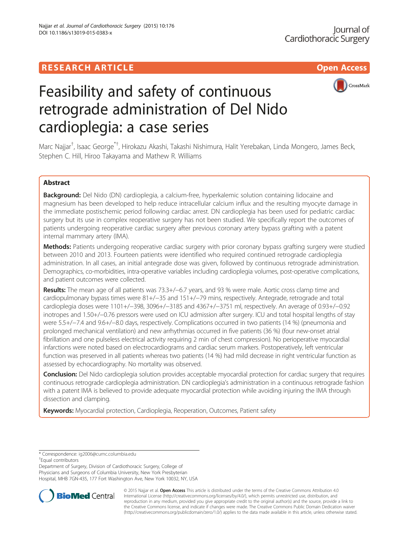# **RESEARCH ARTICLE Example Access 2006 CONTROLLER ARTICLE**



# Feasibility and safety of continuous retrograde administration of Del Nido cardioplegia: a case series

Marc Najjar<sup>†</sup>, Isaac George<sup>\*†</sup>, Hirokazu Akashi, Takashi Nishimura, Halit Yerebakan, Linda Mongero, James Beck, Stephen C. Hill, Hiroo Takayama and Mathew R. Williams

# Abstract

Background: Del Nido (DN) cardioplegia, a calcium-free, hyperkalemic solution containing lidocaine and magnesium has been developed to help reduce intracellular calcium influx and the resulting myocyte damage in the immediate postischemic period following cardiac arrest. DN cardioplegia has been used for pediatric cardiac surgery but its use in complex reoperative surgery has not been studied. We specifically report the outcomes of patients undergoing reoperative cardiac surgery after previous coronary artery bypass grafting with a patent internal mammary artery (IMA).

Methods: Patients undergoing reoperative cardiac surgery with prior coronary bypass grafting surgery were studied between 2010 and 2013. Fourteen patients were identified who required continued retrograde cardioplegia administration. In all cases, an initial antegrade dose was given, followed by continuous retrograde administration. Demographics, co-morbidities, intra-operative variables including cardioplegia volumes, post-operative complications, and patient outcomes were collected.

Results: The mean age of all patients was 73.3+/−6.7 years, and 93 % were male. Aortic cross clamp time and cardiopulmonary bypass times were 81+/−35 and 151+/−79 mins, respectively. Antegrade, retrograde and total cardioplegia doses were 1101+/−398, 3096+/−3185 and 4367+/−3751 ml, respectively. An average of 0.93+/−0.92 inotropes and 1.50+/−0.76 pressors were used on ICU admission after surgery. ICU and total hospital lengths of stay were 5.5+/−7.4 and 9.6+/−8.0 days, respectively. Complications occurred in two patients (14 %) (pneumonia and prolonged mechanical ventilation) and new arrhythmias occurred in five patients (36 %) (four new-onset atrial fibrillation and one pulseless electrical activity requiring 2 min of chest compression). No perioperative myocardial infarctions were noted based on electrocardiograms and cardiac serum markers. Postoperatively, left ventricular function was preserved in all patients whereas two patients (14 %) had mild decrease in right ventricular function as assessed by echocardiography. No mortality was observed.

Conclusion: Del Nido cardioplegia solution provides acceptable myocardial protection for cardiac surgery that requires continuous retrograde cardioplegia administration. DN cardioplegia's administration in a continuous retrograde fashion with a patent IMA is believed to provide adequate myocardial protection while avoiding injuring the IMA through dissection and clamping.

Keywords: Myocardial protection, Cardioplegia, Reoperation, Outcomes, Patient safety

\* Correspondence: [ig2006@cumc.columbia.edu](mailto:ig2006@cumc.columbia.edu) †

Equal contributors

Department of Surgery, Division of Cardiothoracic Surgery, College of Physicians and Surgeons of Columbia University, New York Presbyterian Hospital, MHB 7GN-435, 177 Fort Washington Ave, New York 10032, NY, USA



© 2015 Najjar et al. Open Access This article is distributed under the terms of the Creative Commons Attribution 4.0 International License [\(http://creativecommons.org/licenses/by/4.0/](http://creativecommons.org/licenses/by/4.0/)), which permits unrestricted use, distribution, and reproduction in any medium, provided you give appropriate credit to the original author(s) and the source, provide a link to the Creative Commons license, and indicate if changes were made. The Creative Commons Public Domain Dedication waiver [\(http://creativecommons.org/publicdomain/zero/1.0/](http://creativecommons.org/publicdomain/zero/1.0/)) applies to the data made available in this article, unless otherwise stated.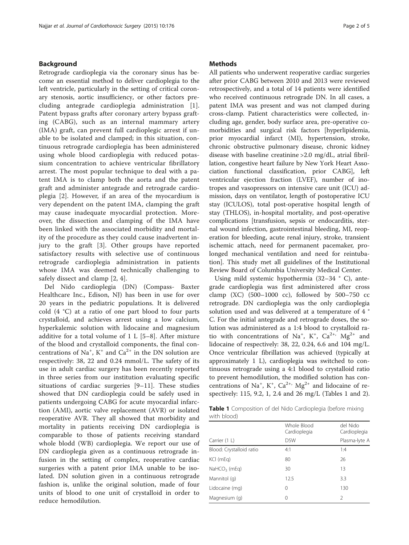#### Background

Retrograde cardioplegia via the coronary sinus has become an essential method to deliver cardioplegia to the left ventricle, particularly in the setting of critical coronary stenosis, aortic insufficiency, or other factors precluding antegrade cardioplegia administration [[1](#page-4-0)]. Patent bypass grafts after coronary artery bypass grafting (CABG), such as an internal mammary artery (IMA) graft, can prevent full cardioplegic arrest if unable to be isolated and clamped; in this situation, continuous retrograde cardioplegia has been administered using whole blood cardioplegia with reduced potassium concentration to achieve ventricular fibrillatory arrest. The most popular technique to deal with a patent IMA is to clamp both the aorta and the patent graft and administer antegrade and retrograde cardioplegia [\[2](#page-4-0)]. However, if an area of the myocardium is very dependent on the patent IMA, clamping the graft may cause inadequate myocardial protection. Moreover, the dissection and clamping of the IMA have been linked with the associated morbidity and mortality of the procedure as they could cause inadvertent injury to the graft [[3\]](#page-4-0). Other groups have reported satisfactory results with selective use of continuous retrograde cardioplegia administration in patients whose IMA was deemed technically challenging to safely dissect and clamp [[2, 4\]](#page-4-0).

Del Nido cardioplegia (DN) (Compass- Baxter Healthcare Inc., Edison, NJ) has been in use for over 20 years in the pediatric populations. It is delivered cold (4 °C) at a ratio of one part blood to four parts crystalloid, and achieves arrest using a low calcium, hyperkalemic solution with lidocaine and magnesium additive for a total volume of 1 L [\[5](#page-4-0)–[8](#page-4-0)]. After mixture of the blood and crystalloid components, the final concentrations of Na<sup>+</sup>,  $K^+$  and  $Ca^{2+}$  in the DN solution are respectively: 38, 22 and 0.24 mmol/L. The safety of its use in adult cardiac surgery has been recently reported in three series from our institution evaluating specific situations of cardiac surgeries [[9](#page-4-0)–[11\]](#page-4-0). These studies showed that DN cardioplegia could be safely used in patients undergoing CABG for acute myocardial infarction (AMI), aortic valve replacement (AVR) or isolated reoperative AVR. They all showed that morbidity and mortality in patients receiving DN cardioplegia is comparable to those of patients receiving standard whole blodd (WB) cardioplegia. We report our use of DN cardioplegia given as a continuous retrograde infusion in the setting of complex, reoperative cardiac surgeries with a patent prior IMA unable to be isolated. DN solution given in a continuous retrograde fashion is, unlike the original solution, made of four units of blood to one unit of crystalloid in order to reduce hemodilution.

#### **Methods**

All patients who underwent reoperative cardiac surgeries after prior CABG between 2010 and 2013 were reviewed retrospectively, and a total of 14 patients were identified who received continuous retrograde DN. In all cases, a patent IMA was present and was not clamped during cross-clamp. Patient characteristics were collected, including age, gender, body surface area, pre-operative comorbidities and surgical risk factors [hyperlipidemia, prior myocardial infarct (MI), hypertension, stroke, chronic obstructive pulmonary disease, chronic kidney disease with baseline creatinine >2.0 mg/dL, atrial fibrillation, congestive heart failure by New York Heart Association functional classification, prior CABG], left ventricular ejection fraction (LVEF), number of inotropes and vasopressors on intensive care unit (ICU) admission, days on ventilator, length of postoperative ICU stay (ICULOS), total post-operative hospital length of stay (THLOS), in-hospital mortality, and post-operative complications [transfusion, sepsis or endocarditis, sternal wound infection, gastrointestinal bleeding, MI, reoperation for bleeding, acute renal injury, stroke, transient ischemic attach, need for permanent pacemaker, prolonged mechanical ventilation and need for reintubation]. This study met all guidelines of the Institutional Review Board of Columbia University Medical Center.

Using mild systemic hypothermia (32–34 ° C), antegrade cardioplegia was first administered after cross clamp (XC) (500–1000 cc), followed by 500–750 cc retrograde. DN cardioplegia was the only cardioplegia solution used and was delivered at a temperature of 4 ° C. For the initial antegrade and retrograde doses, the solution was administered as a 1:4 blood to crystalloid ratio with concentrations of Na<sup>+</sup>, K<sup>+</sup>, Ca<sup>2+,</sup> Mg<sup>2+</sup> and lidocaine of respectively: 38, 22, 0.24, 6.6 and 104 mg/L. Once ventricular fibrillation was achieved (typically at approximately 1 L), cardioplegia was switched to continuous retrograde using a 4:1 blood to crystalloid ratio to prevent hemodilution, the modified solution has concentrations of Na<sup>+</sup>, K<sup>+</sup>, Ca<sup>2+,</sup> Mg<sup>2+</sup> and lidocaine of respectively: 115, 9.2, 1, 2.4 and 26 mg/L (Tables 1 and [2](#page-2-0)).

Table 1 Composition of del Nido Cardioplegia (before mixing with blood)

|                          | Whole Blood<br>Cardioplegia | del Nido<br>Cardioplegia |
|--------------------------|-----------------------------|--------------------------|
| Carrier (1 L)            | D <sub>5</sub> W            | Plasma-lyte A            |
| Blood: Crystalloid ratio | 4:1                         | 1:4                      |
| KCI (mEg)                | 80                          | 26                       |
| $NaHCO3$ (mEq)           | 30                          | 13                       |
| Mannitol (g)             | 12.5                        | 3.3                      |
| Lidocaine (mg)           | 0                           | 130                      |
| Magnesium (g)            | 0                           | $\mathcal{P}$            |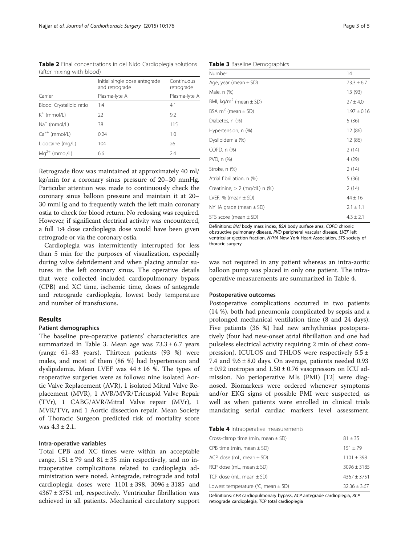<span id="page-2-0"></span>Table 2 Final concentrations in del Nido Cardioplegia solutions (after mixing with blood)

|                          | Initial single dose antegrade<br>and retrograde | Continuous<br>retrograde |
|--------------------------|-------------------------------------------------|--------------------------|
| Carrier                  | Plasma-lyte A                                   | Plasma-lyte A            |
| Blood: Crystalloid ratio | 1:4                                             | 4:1                      |
| $K^+$ (mmol/L)           | 22                                              | 9.2                      |
| $Na+$ (mmol/L)           | 38                                              | 115                      |
| $Ca2+$ (mmol/L)          | 0.24                                            | 1.0                      |
| Lidocaine (mg/L)         | 104                                             | 26                       |
| $Mq^{2+}$ (mmol/L)       | 6.6                                             | 7.4                      |

Retrograde flow was maintained at approximately 40 ml/ kg/min for a coronary sinus pressure of 20–30 mmHg. Particular attention was made to continuously check the coronary sinus balloon pressure and maintain it at 20– 30 mmHg and to frequently watch the left main coronary ostia to check for blood return. No redosing was required. However, if significant electrical activity was encountered, a full 1:4 dose cardioplegia dose would have been given retrograde or via the coronary ostia.

Cardioplegia was intermittently interrupted for less than 5 min for the purposes of visualization, especially during valve debridement and when placing annular sutures in the left coronary sinus. The operative details that were collected included cardiopulmonary bypass (CPB) and XC time, ischemic time, doses of antegrade and retrograde cardioplegia, lowest body temperature and number of transfusions.

#### Results

# Patient demographics

The baseline pre-operative patients' characteristics are summarized in Table 3. Mean age was  $73.3 \pm 6.7$  years (range 61–83 years). Thirteen patients (93 %) were males, and most of them (86 %) had hypertension and dyslipidemia. Mean LVEF was  $44 \pm 16$  %. The types of reoperative surgeries were as follows: nine isolated Aortic Valve Replacement (AVR), 1 isolated Mitral Valve Replacement (MVR), 1 AVR/MVR/Tricuspid Valve Repair (TVr), 1 CABG/AVR/Mitral Valve repair (MVr), 1 MVR/TVr, and 1 Aortic dissection repair. Mean Society of Thoracic Surgeon predicted risk of mortality score was  $4.3 \pm 2.1$ .

# Intra-operative variables

Total CPB and XC times were within an acceptable range,  $151 \pm 79$  and  $81 \pm 35$  min respectively, and no intraoperative complications related to cardioplegia administration were noted. Antegrade, retrograde and total cardioplegia doses were  $1101 \pm 398$ ,  $3096 \pm 3185$  and  $4367 \pm 3751$  ml, respectively. Ventricular fibrillation was achieved in all patients. Mechanical circulatory support

#### Table 3 Baseline Demographics

| Number                                 | 14              |
|----------------------------------------|-----------------|
| Age, year (mean $\pm$ SD)              | $73.3 \pm 6.7$  |
| Male, n (%)                            | 13 (93)         |
| BMI, kg/m <sup>2</sup> (mean $\pm$ SD) | $27 \pm 4.0$    |
| BSA $m^2$ (mean $\pm$ SD)              | $1.97 \pm 0.16$ |
| Diabetes, n (%)                        | 5(36)           |
| Hypertension, n (%)                    | 12 (86)         |
| Dyslipidemia (%)                       | 12 (86)         |
| COPD, n (%)                            | 2(14)           |
| PVD, n (%)                             | 4 (29)          |
| Stroke, n (%)                          | 2(14)           |
| Atrial fibrillation, n (%)             | 5(36)           |
| Creatinine, $> 2$ (mg/dL) n (%)        | 2(14)           |
| LVEF, % (mean $\pm$ SD)                | $44 \pm 16$     |
| NYHA grade (mean $\pm$ SD)             | $2.1 \pm 1.1$   |
| STS score (mean $\pm$ SD)              | $4.3 \pm 2.1$   |

Definitions: BMI body mass index, BSA body surface area, COPD chronic obstructive pulmonary disease, PVD peripheral vascular disease, LVEF left ventricular ejection fraction, NYHA New York Heart Association, STS society of thoracic surgery

was not required in any patient whereas an intra-aortic balloon pump was placed in only one patient. The intraoperative measurements are summarized in Table 4.

#### Postoperative outcomes

Postoperative complications occurred in two patients (14 %), both had pneumonia complicated by sepsis and a prolonged mechanical ventilation time (8 and 24 days). Five patients (36 %) had new arrhythmias postoperatively (four had new-onset atrial fibrillation and one had pulseless electrical activity requiring 2 min of chest compression). ICULOS and THLOS were respectively  $5.5 \pm$ 7.4 and  $9.6 \pm 8.0$  days. On average, patients needed 0.93  $\pm$  0.92 inotropes and 1.50  $\pm$  0.76 vasopressors on ICU admission. No perioperative MIs (PMI) [[12\]](#page-4-0) were diagnosed. Biomarkers were ordered whenever symptoms and/or EKG signs of possible PMI were suspected, as well as when patients were enrolled in clinical trials mandating serial cardiac markers level assessment.

### Table 4 Intraoperative measurements

| Cross-clamp time (min, mean $\pm$ SD)      | $81 \pm 35$    |
|--------------------------------------------|----------------|
| CPB time (min, mean $\pm$ SD)              | $151 + 79$     |
| ACP dose (mL, mean $\pm$ SD)               | $1101 + 398$   |
| RCP dose (mL, mean $\pm$ SD)               | $3096 + 3185$  |
| TCP dose (mL, mean $\pm$ SD)               | $4367 + 3751$  |
| Lowest temperature ( $°C$ , mean $\pm$ SD) | $32.36 + 3.67$ |

Definitions: CPB cardiopulmonary bypass, ACP antegrade cardioplegia, RCP retrograde cardioplegia, TCP total cardioplegia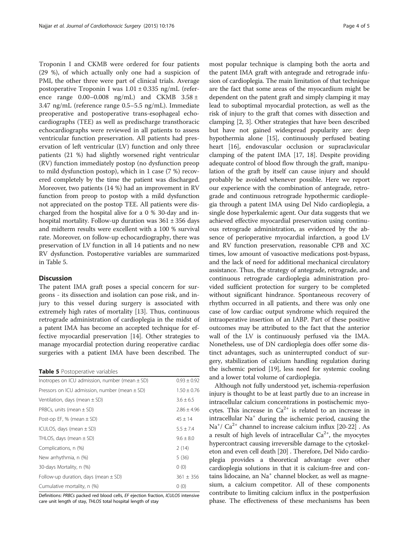Troponin I and CKMB were ordered for four patients (29 %), of which actually only one had a suspicion of PMI, the other three were part of clinical trials. Average postoperative Troponin I was 1.01 ± 0.335 ng/mL (reference range  $0.00-0.008$  ng/mL) and CKMB  $3.58 \pm$ 3.47 ng/mL (reference range 0.5–5.5 ng/mL). Immediate preoperative and postoperative trans-esophageal echocardiographs (TEE) as well as predischarge transthoracic echocardiographs were reviewed in all patients to assess ventricular function preservation. All patients had preservation of left ventricular (LV) function and only three patients (21 %) had slightly worsened right ventricular (RV) function immediately postop (no dysfunction preop to mild dysfunction postop), which in 1 case (7 %) recovered completely by the time the patient was discharged. Moreover, two patients (14 %) had an improvement in RV function from preop to postop with a mild dysfunction not appreciated on the postop TEE. All patients were discharged from the hospital alive for a 0 % 30-day and inhospital mortality. Follow-up duration was  $361 \pm 356$  days and midterm results were excellent with a 100 % survival rate. Moreover, on follow-up echocardiography, there was preservation of LV function in all 14 patients and no new RV dysfunction. Postoperative variables are summarized in Table 5.

#### **Discussion**

The patent IMA graft poses a special concern for surgeons - its dissection and isolation can pose risk, and injury to this vessel during surgery is associated with extremely high rates of mortality [[13](#page-4-0)]. Thus, continuous retrograde administration of cardioplegia in the midst of a patent IMA has become an accepted technique for effective myocardial preservation [[14\]](#page-4-0). Other strategies to manage myocardial protection during reoperative cardiac surgeries with a patient IMA have been described. The

|  | Table 5 Postoperative variables |  |
|--|---------------------------------|--|
|--|---------------------------------|--|

| Inotropes on ICU admission, number (mean $\pm$ SD) | $0.93 \pm 0.92$ |
|----------------------------------------------------|-----------------|
| Pressors on ICU admission, number (mean $\pm$ SD)  | $1.50 \pm 0.76$ |
| Ventilation, days (mean $\pm$ SD)                  | $3.6 \pm 6.5$   |
| PRBCs, units (mean $\pm$ SD)                       | $2.86 \pm 4.96$ |
| Post-op EF, % (mean $\pm$ SD)                      | $45 \pm 14$     |
| ICULOS, days (mean $\pm$ SD)                       | $5.5 \pm 7.4$   |
| THLOS, days (mean $\pm$ SD)                        | $9.6 \pm 8.0$   |
| Complications, n (%)                               | 2(14)           |
| New arrhythmia, n (%)                              | 5(36)           |
| 30-days Mortality, n (%)                           | 0(0)            |
| Follow-up duration, days (mean $\pm$ SD)           | $361 \pm 356$   |
| Cumulative mortality, n (%)                        | 0(0)            |

Definitions: PRBCs packed red blood cells, EF ejection fraction, ICULOS intensive care unit length of stay, THLOS total hospital length of stay

most popular technique is clamping both the aorta and the patent IMA graft with antegrade and retrograde infusion of cardioplegia. The main limitation of that technique are the fact that some areas of the myocardium might be dependent on the patent graft and simply clamping it may lead to suboptimal myocardial protection, as well as the risk of injury to the graft that comes with dissection and clamping [[2, 3\]](#page-4-0). Other strategies that have been described but have not gained widespread popularity are: deep hypothermia alone [[15](#page-4-0)], continuously perfused beating heart [[16](#page-4-0)], endovascular occlusion or supraclavicular clamping of the patent IMA [[17, 18\]](#page-4-0). Despite providing adequate control of blood flow through the graft, manipulation of the graft by itself can cause injury and should probably be avoided whenever possible. Here we report our experience with the combination of antegrade, retrograde and continuous retrograde hypothermic cardioplegia through a patent IMA using Del Nido cardioplegia, a single dose hyperkalemic agent. Our data suggests that we achieved effective myocardial preservation using continuous retrograde administration, as evidenced by the absence of perioperative myocardial infarction, a good LV and RV function preservation, reasonable CPB and XC times, low amount of vasoactive medications post-bypass, and the lack of need for additional mechanical circulatory assistance. Thus, the strategy of antegrade, retrograde, and continuous retrograde cardioplegia administration provided sufficient protection for surgery to be completed without significant hindrance. Spontaneous recovery of rhythm occurred in all patients, and there was only one case of low cardiac output syndrome which required the intraoperative insertion of an IABP. Part of these positive outcomes may be attributed to the fact that the anterior wall of the LV is continuously perfused via the IMA. Nonetheless, use of DN cardioplegia does offer some distinct advantages, such as uninterrupted conduct of surgery, stabilization of calcium handling regulation during the ischemic period [\[19\]](#page-4-0), less need for systemic cooling and a lower total volume of cardioplegia.

Although not fully understood yet, ischemia-reperfusion injury is thought to be at least partly due to an increase in intracellular calcium concentrations in postischemic myocytes. This increase in  $Ca^{2+}$  is related to an increase in intracellular  $\mathrm{Na}^+$  during the ischemic period, causing the Na<sup>+</sup>/ Ca<sup>2+</sup> channel to increase calcium influx [[20](#page-4-0)-[22](#page-4-0)] . As a result of high levels of intracellular  $Ca<sup>2+</sup>$ , the myocytes hypercontract causing irreversible damage to the cytoskeleton and even cell death [\[20\]](#page-4-0) . Therefore, Del Nido cardioplegia provides a theoretical advantage over other cardioplegia solutions in that it is calcium-free and contains lidocaine, an  $Na<sup>+</sup>$  channel blocker, as well as magnesium, a calcium competitor. All of these components contribute to limiting calcium influx in the postperfusion phase. The effectiveness of these mechanisms has been